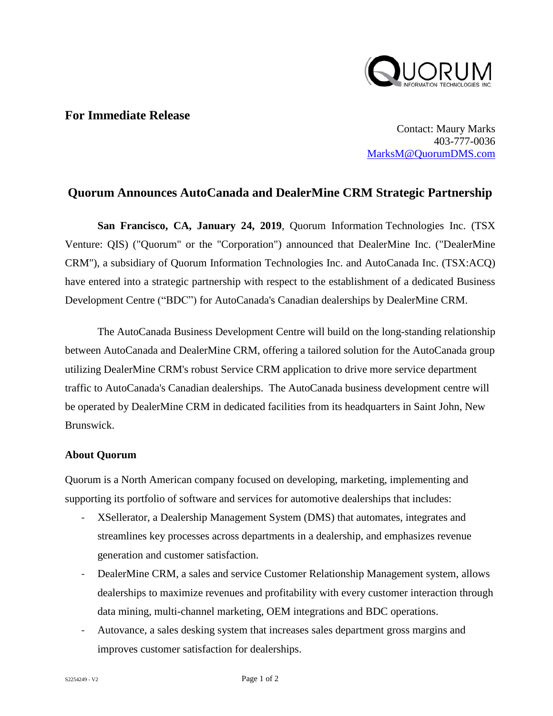

## **For Immediate Release**

Contact: Maury Marks 403-777-0036 [MarksM@QuorumDMS.com](mailto:MarksM@QuorumDMS.com)

## **Quorum Announces AutoCanada and DealerMine CRM Strategic Partnership**

**San Francisco, CA, January 24, 2019**, Quorum Information Technologies Inc. (TSX Venture: QIS) ("Quorum" or the "Corporation") announced that DealerMine Inc. ("DealerMine CRM"), a subsidiary of Quorum Information Technologies Inc. and AutoCanada Inc. (TSX:ACQ) have entered into a strategic partnership with respect to the establishment of a dedicated Business Development Centre ("BDC") for AutoCanada's Canadian dealerships by DealerMine CRM.

The AutoCanada Business Development Centre will build on the long-standing relationship between AutoCanada and DealerMine CRM, offering a tailored solution for the AutoCanada group utilizing DealerMine CRM's robust Service CRM application to drive more service department traffic to AutoCanada's Canadian dealerships. The AutoCanada business development centre will be operated by DealerMine CRM in dedicated facilities from its headquarters in Saint John, New Brunswick.

## **About Quorum**

Quorum is a North American company focused on developing, marketing, implementing and supporting its portfolio of software and services for automotive dealerships that includes:

- XSellerator, a Dealership Management System (DMS) that automates, integrates and streamlines key processes across departments in a dealership, and emphasizes revenue generation and customer satisfaction.
- DealerMine CRM, a sales and service Customer Relationship Management system, allows dealerships to maximize revenues and profitability with every customer interaction through data mining, multi-channel marketing, OEM integrations and BDC operations.
- Autovance, a sales desking system that increases sales department gross margins and improves customer satisfaction for dealerships.